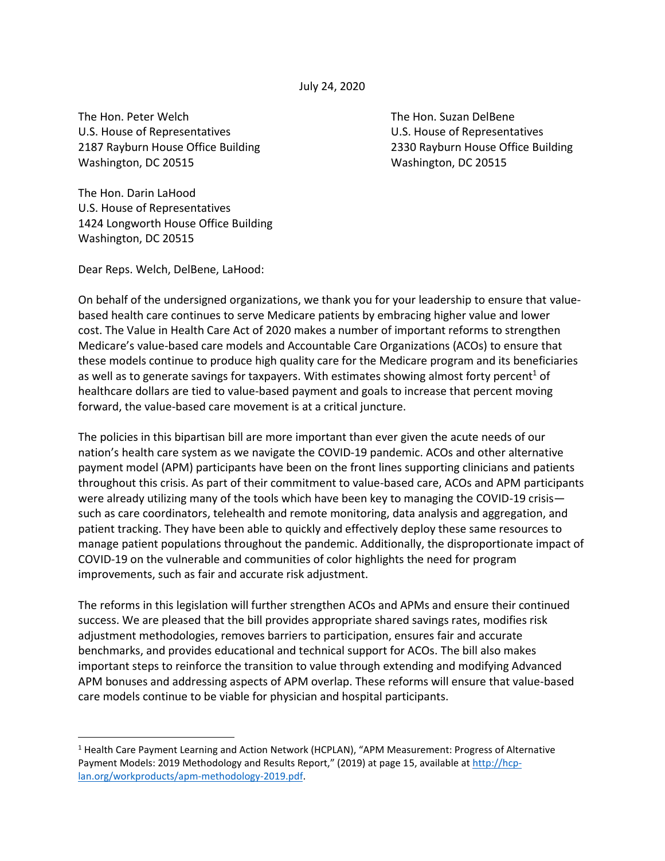July 24, 2020

The Hon. Peter Welch The Hon. Suzan DelBene U.S. House of Representatives U.S. House of Representatives 2187 Rayburn House Office Building 2330 Rayburn House Office Building Washington, DC 20515 Washington, DC 20515

The Hon. Darin LaHood U.S. House of Representatives 1424 Longworth House Office Building Washington, DC 20515

Dear Reps. Welch, DelBene, LaHood:

On behalf of the undersigned organizations, we thank you for your leadership to ensure that valuebased health care continues to serve Medicare patients by embracing higher value and lower cost. The Value in Health Care Act of 2020 makes a number of important reforms to strengthen Medicare's value-based care models and Accountable Care Organizations (ACOs) to ensure that these models continue to produce high quality care for the Medicare program and its beneficiaries as well as to generate savings for taxpayers. With estimates showing almost forty percent<sup>1</sup> of healthcare dollars are tied to value-based payment and goals to increase that percent moving forward, the value-based care movement is at a critical juncture.

The policies in this bipartisan bill are more important than ever given the acute needs of our nation's health care system as we navigate the COVID-19 pandemic. ACOs and other alternative payment model (APM) participants have been on the front lines supporting clinicians and patients throughout this crisis. As part of their commitment to value-based care, ACOs and APM participants were already utilizing many of the tools which have been key to managing the COVID-19 crisis such as care coordinators, telehealth and remote monitoring, data analysis and aggregation, and patient tracking. They have been able to quickly and effectively deploy these same resources to manage patient populations throughout the pandemic. Additionally, the disproportionate impact of COVID-19 on the vulnerable and communities of color highlights the need for program improvements, such as fair and accurate risk adjustment.

The reforms in this legislation will further strengthen ACOs and APMs and ensure their continued success. We are pleased that the bill provides appropriate shared savings rates, modifies risk adjustment methodologies, removes barriers to participation, ensures fair and accurate benchmarks, and provides educational and technical support for ACOs. The bill also makes important steps to reinforce the transition to value through extending and modifying Advanced APM bonuses and addressing aspects of APM overlap. These reforms will ensure that value-based care models continue to be viable for physician and hospital participants.

<sup>&</sup>lt;sup>1</sup> Health Care Payment Learning and Action Network (HCPLAN), "APM Measurement: Progress of Alternative Payment Models: 2019 Methodology and Results Report," (2019) at page 15, available at [http://hcp](http://hcp-lan.org/workproducts/apm-methodology-2019.pdf)[lan.org/workproducts/apm-methodology-2019.pdf.](http://hcp-lan.org/workproducts/apm-methodology-2019.pdf)